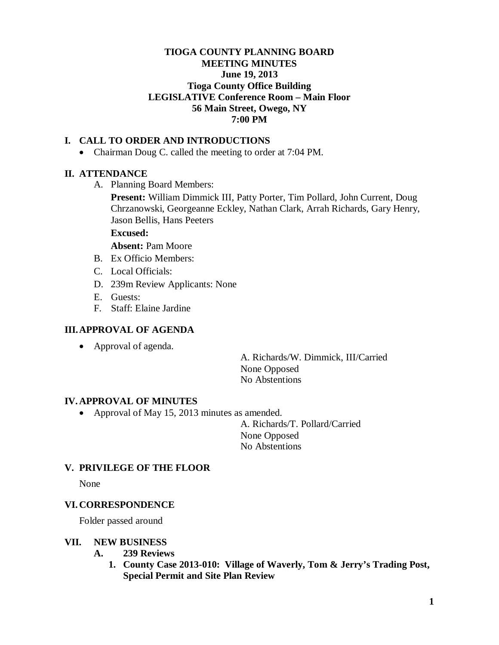## **TIOGA COUNTY PLANNING BOARD MEETING MINUTES June 19, 2013 Tioga County Office Building LEGISLATIVE Conference Room – Main Floor 56 Main Street, Owego, NY 7:00 PM**

## **I. CALL TO ORDER AND INTRODUCTIONS**

• Chairman Doug C. called the meeting to order at 7:04 PM.

### **II. ATTENDANCE**

A. Planning Board Members:

**Present:** William Dimmick III, Patty Porter, Tim Pollard, John Current, Doug Chrzanowski, Georgeanne Eckley, Nathan Clark, Arrah Richards, Gary Henry, Jason Bellis, Hans Peeters

### **Excused:**

**Absent:** Pam Moore

- B. Ex Officio Members:
- C. Local Officials:
- D. 239m Review Applicants: None
- E. Guests:
- F. Staff: Elaine Jardine

### **III.APPROVAL OF AGENDA**

• Approval of agenda.

A. Richards/W. Dimmick, III/Carried None Opposed No Abstentions

#### **IV. APPROVAL OF MINUTES**

• Approval of May 15, 2013 minutes as amended.

A. Richards/T. Pollard/Carried None Opposed No Abstentions

## **V. PRIVILEGE OF THE FLOOR**

None

#### **VI. CORRESPONDENCE**

Folder passed around

#### **VII. NEW BUSINESS**

- **A. 239 Reviews**
	- **1. County Case 2013-010: Village of Waverly, Tom & Jerry's Trading Post, Special Permit and Site Plan Review**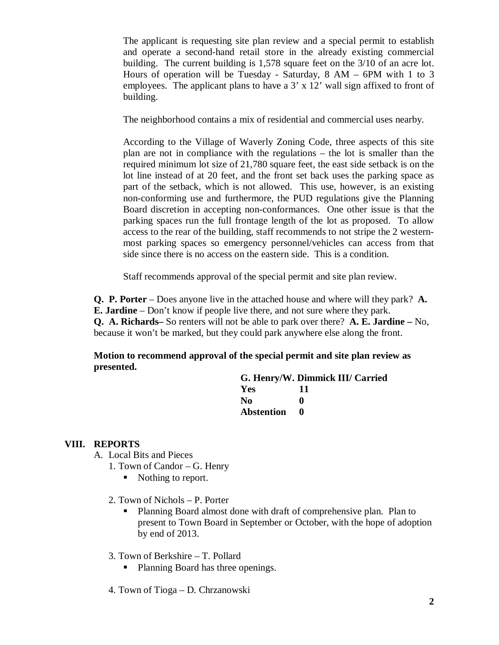The applicant is requesting site plan review and a special permit to establish and operate a second-hand retail store in the already existing commercial building. The current building is 1,578 square feet on the 3/10 of an acre lot. Hours of operation will be Tuesday - Saturday, 8 AM – 6PM with 1 to 3 employees. The applicant plans to have a 3' x 12' wall sign affixed to front of building.

The neighborhood contains a mix of residential and commercial uses nearby.

According to the Village of Waverly Zoning Code, three aspects of this site plan are not in compliance with the regulations – the lot is smaller than the required minimum lot size of 21,780 square feet, the east side setback is on the lot line instead of at 20 feet, and the front set back uses the parking space as part of the setback, which is not allowed. This use, however, is an existing non-conforming use and furthermore, the PUD regulations give the Planning Board discretion in accepting non-conformances. One other issue is that the parking spaces run the full frontage length of the lot as proposed. To allow access to the rear of the building, staff recommends to not stripe the 2 westernmost parking spaces so emergency personnel/vehicles can access from that side since there is no access on the eastern side. This is a condition.

Staff recommends approval of the special permit and site plan review.

**Q. P. Porter** – Does anyone live in the attached house and where will they park? **A. E. Jardine** – Don't know if people live there, and not sure where they park. **Q. A. Richards–** So renters will not be able to park over there? **A. E. Jardine –** No, because it won't be marked, but they could park anywhere else along the front.

**Motion to recommend approval of the special permit and site plan review as presented.**

## **G. Henry/W. Dimmick III/ Carried Yes 11 No 0 Abstention 0**

## **VIII. REPORTS**

- A. Local Bits and Pieces
	- 1. Town of Candor G. Henry
		- Nothing to report.
	- 2. Town of Nichols P. Porter
		- Planning Board almost done with draft of comprehensive plan. Plan to present to Town Board in September or October, with the hope of adoption by end of 2013.
	- 3. Town of Berkshire T. Pollard
		- Planning Board has three openings.
	- 4. Town of Tioga D. Chrzanowski